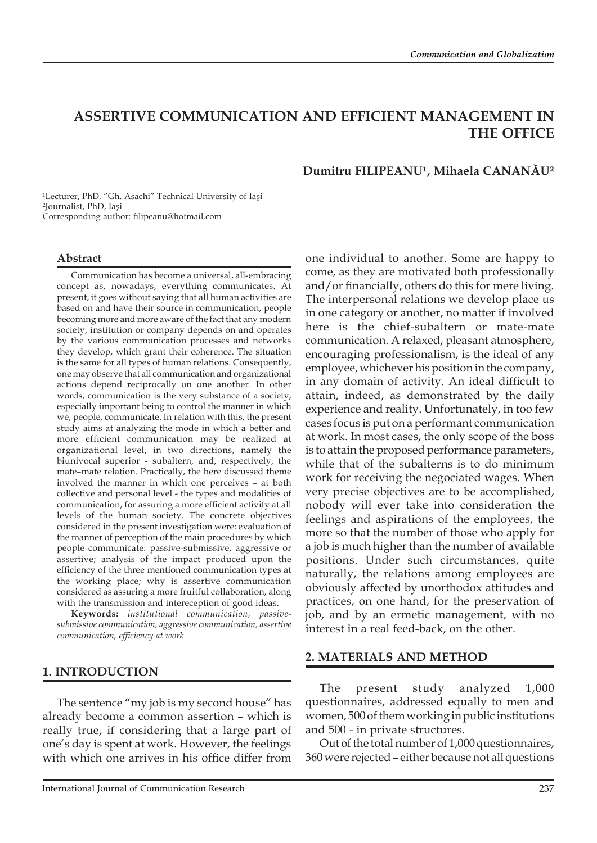# **ASSERTIVE COMMUNICATION AND EFFICIENT MANAGEMENT IN THE OFFICE**

### **Dumitru FILIPEANU¹, Mihaela CANANĂU²**

<sup>1</sup>Lecturer, PhD, "Gh. Asachi" Technical University of Iași ²Journalist, PhD, Iaşi Corresponding author: filipeanu@hotmail.com

### **Abstract**

Communication has become a universal, all-embracing concept as, nowadays, everything communicates. At present, it goes without saying that all human activities are based on and have their source in communication, people becoming more and more aware of the fact that any modern society, institution or company depends on and operates by the various communication processes and networks they develop, which grant their coherence. The situation is the same for all types of human relations. Consequently, one may observe that all communication and organizational actions depend reciprocally on one another. In other words, communication is the very substance of a society, especially important being to control the manner in which we, people, communicate. In relation with this, the present study aims at analyzing the mode in which a better and more efficient communication may be realized at organizational level, in two directions, namely the biunivocal superior - subaltern, and, respectively, the mate–mate relation. Practically, the here discussed theme involved the manner in which one perceives – at both collective and personal level - the types and modalities of communication, for assuring a more efficient activity at all levels of the human society. The concrete objectives considered in the present investigation were: evaluation of the manner of perception of the main procedures by which people communicate: passive-submissive, aggressive or assertive; analysis of the impact produced upon the efficiency of the three mentioned communication types at the working place; why is assertive communication considered as assuring a more fruitful collaboration, along with the transmission and intereception of good ideas.

**Keywords:** *institutional communication, passivesubmissive communication, aggressive communication, assertive communication, efficiency at work*

# **1. INTRODUCTION**

The sentence "my job is my second house" has already become a common assertion – which is really true, if considering that a large part of one's day is spent at work. However, the feelings with which one arrives in his office differ from one individual to another. Some are happy to come, as they are motivated both professionally and/or financially, others do this for mere living. The interpersonal relations we develop place us in one category or another, no matter if involved here is the chief-subaltern or mate-mate communication. A relaxed, pleasant atmosphere, encouraging professionalism, is the ideal of any employee, whichever his position in the company, in any domain of activity. An ideal difficult to attain, indeed, as demonstrated by the daily experience and reality. Unfortunately, in too few cases focus is put on a performant communication at work. In most cases, the only scope of the boss is to attain the proposed performance parameters, while that of the subalterns is to do minimum work for receiving the negociated wages. When very precise objectives are to be accomplished, nobody will ever take into consideration the feelings and aspirations of the employees, the more so that the number of those who apply for a job is much higher than the number of available positions. Under such circumstances, quite naturally, the relations among employees are obviously affected by unorthodox attitudes and practices, on one hand, for the preservation of job, and by an ermetic management, with no interest in a real feed-back, on the other.

#### **2. MATERIALS AND METHOD**

The present study analyzed 1,000 questionnaires, addressed equally to men and women, 500 of them working in public institutions and 500 - in private structures.

Out of the total number of 1,000 questionnaires, 360 were rejected – either because not all questions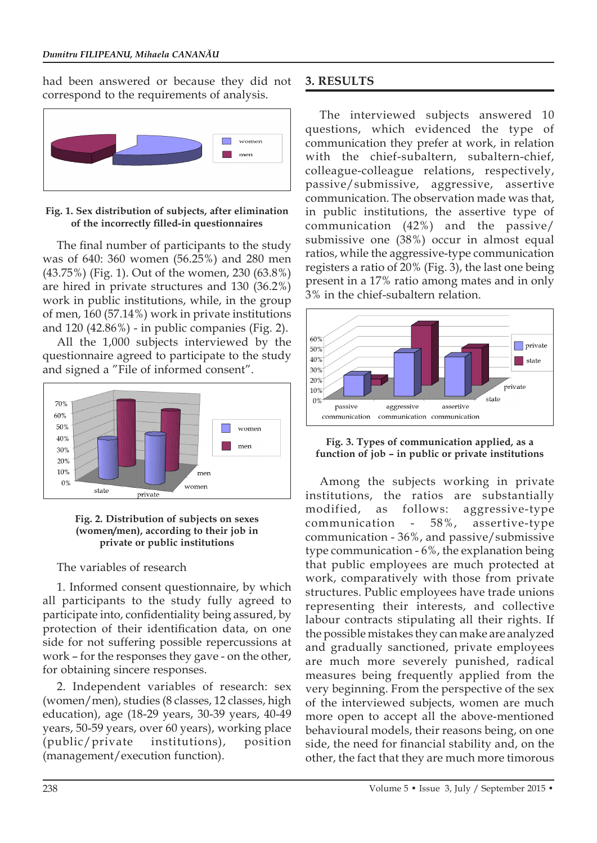had been answered or because they did not correspond to the requirements of analysis.



**Fig. 1. Sex distribution of subjects, after elimination of the incorrectly filled-in questionnaires**

The final number of participants to the study was of 640: 360 women (56.25%) and 280 men (43.75%) (Fig. 1). Out of the women, 230 (63.8%) are hired in private structures and 130 (36.2%) work in public institutions, while, in the group of men, 160 (57.14%) work in private institutions and 120 (42.86%) - in public companies (Fig. 2).

All the 1,000 subjects interviewed by the questionnaire agreed to participate to the study and signed a "File of informed consent".



#### **Fig. 2. Distribution of subjects on sexes (women/men), according to their job in private or public institutions**

The variables of research

1. Informed consent questionnaire, by which all participants to the study fully agreed to participate into, confidentiality being assured, by protection of their identification data, on one side for not suffering possible repercussions at work – for the responses they gave - on the other, for obtaining sincere responses.

2. Independent variables of research: sex (women/men), studies (8 classes, 12 classes, high education), age (18-29 years, 30-39 years, 40-49 years, 50-59 years, over 60 years), working place (public/private institutions), position (management/execution function).

# **3. RESULTS**

The interviewed subjects answered 10 questions, which evidenced the type of communication they prefer at work, in relation with the chief-subaltern, subaltern-chief, colleague-colleague relations, respectively, passive/submissive, aggressive, assertive communication. The observation made was that, in public institutions, the assertive type of communication (42%) and the passive/ submissive one (38%) occur in almost equal ratios, while the aggressive-type communication registers a ratio of 20% (Fig. 3), the last one being present in a 17% ratio among mates and in only 3% in the chief-subaltern relation.





Among the subjects working in private institutions, the ratios are substantially modified, as follows: aggressive-type communication - 58%, assertive-type communication - 36%, and passive/submissive type communication - 6%, the explanation being that public employees are much protected at work, comparatively with those from private structures. Public employees have trade unions representing their interests, and collective labour contracts stipulating all their rights. If the possible mistakes they can make are analyzed and gradually sanctioned, private employees are much more severely punished, radical measures being frequently applied from the very beginning. From the perspective of the sex of the interviewed subjects, women are much more open to accept all the above-mentioned behavioural models, their reasons being, on one side, the need for financial stability and, on the other, the fact that they are much more timorous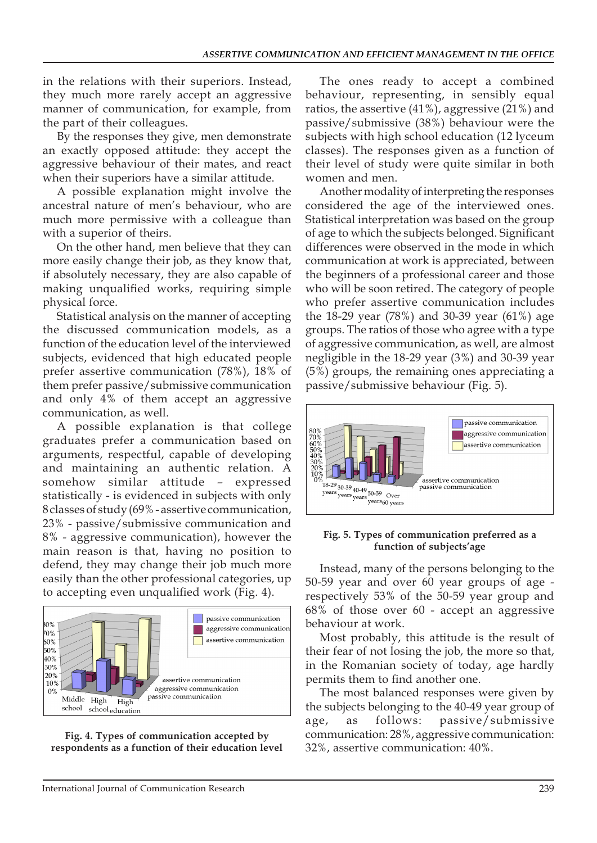in the relations with their superiors. Instead, they much more rarely accept an aggressive manner of communication, for example, from the part of their colleagues.

By the responses they give, men demonstrate an exactly opposed attitude: they accept the aggressive behaviour of their mates, and react when their superiors have a similar attitude.

A possible explanation might involve the ancestral nature of men's behaviour, who are much more permissive with a colleague than with a superior of theirs.

On the other hand, men believe that they can more easily change their job, as they know that, if absolutely necessary, they are also capable of making unqualified works, requiring simple physical force.

Statistical analysis on the manner of accepting the discussed communication models, as a function of the education level of the interviewed subjects, evidenced that high educated people prefer assertive communication (78%), 18% of them prefer passive/submissive communication and only 4% of them accept an aggressive communication, as well.

A possible explanation is that college graduates prefer a communication based on arguments, respectful, capable of developing and maintaining an authentic relation. A somehow similar attitude – expressed statistically - is evidenced in subjects with only 8 classes of study (69% - assertive communication, 23% - passive/submissive communication and 8% - aggressive communication), however the main reason is that, having no position to defend, they may change their job much more easily than the other professional categories, up to accepting even unqualified work (Fig. 4).



**Fig. 4. Types of communication accepted by respondents as a function of their education level**

The ones ready to accept a combined behaviour, representing, in sensibly equal ratios, the assertive (41%), aggressive (21%) and passive/submissive (38%) behaviour were the subjects with high school education (12 lyceum classes). The responses given as a function of their level of study were quite similar in both women and men.

Another modality of interpreting the responses considered the age of the interviewed ones. Statistical interpretation was based on the group of age to which the subjects belonged. Significant differences were observed in the mode in which communication at work is appreciated, between the beginners of a professional career and those who will be soon retired. The category of people who prefer assertive communication includes the 18-29 year (78%) and 30-39 year (61%) age groups. The ratios of those who agree with a type of aggressive communication, as well, are almost negligible in the 18-29 year (3%) and 30-39 year (5%) groups, the remaining ones appreciating a passive/submissive behaviour (Fig. 5).



#### **Fig. 5. Types of communication preferred as a function of subjects'age**

Instead, many of the persons belonging to the 50-59 year and over 60 year groups of age respectively 53% of the 50-59 year group and 68% of those over 60 - accept an aggressive behaviour at work.

Most probably, this attitude is the result of their fear of not losing the job, the more so that, in the Romanian society of today, age hardly permits them to find another one.

The most balanced responses were given by the subjects belonging to the 40-49 year group of age, as follows: passive/submissive communication: 28%, aggressive communication: 32%, assertive communication: 40%.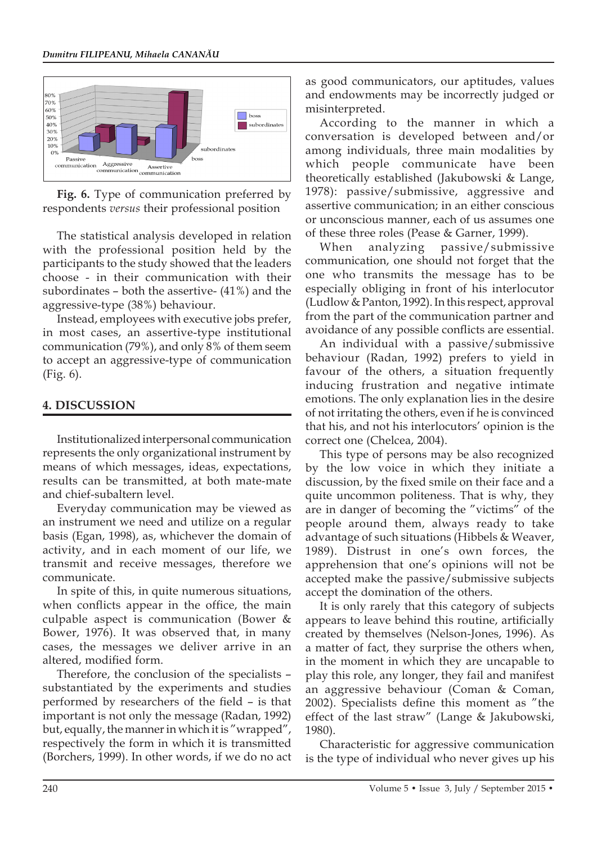

**Fig. 6.** Type of communication preferred by respondents *versus* their professional position

The statistical analysis developed in relation with the professional position held by the participants to the study showed that the leaders choose - in their communication with their subordinates – both the assertive- (41%) and the aggressive-type (38%) behaviour.

Instead, employees with executive jobs prefer, in most cases, an assertive-type institutional communication (79%), and only 8% of them seem to accept an aggressive-type of communication (Fig. 6).

## **4. DISCUSSION**

Institutionalized interpersonal communication represents the only organizational instrument by means of which messages, ideas, expectations, results can be transmitted, at both mate-mate and chief-subaltern level.

Everyday communication may be viewed as an instrument we need and utilize on a regular basis (Egan, 1998), as, whichever the domain of activity, and in each moment of our life, we transmit and receive messages, therefore we communicate.

In spite of this, in quite numerous situations, when conflicts appear in the office, the main culpable aspect is communication (Bower & Bower, 1976). It was observed that, in many cases, the messages we deliver arrive in an altered, modified form.

Therefore, the conclusion of the specialists – substantiated by the experiments and studies performed by researchers of the field – is that important is not only the message (Radan, 1992) but, equally, the manner in which it is "wrapped", respectively the form in which it is transmitted (Borchers, 1999). In other words, if we do no act as good communicators, our aptitudes, values and endowments may be incorrectly judged or misinterpreted.

According to the manner in which a conversation is developed between and/or among individuals, three main modalities by which people communicate have been theoretically established (Jakubowski & Lange, 1978): passive/submissive, aggressive and assertive communication; in an either conscious or unconscious manner, each of us assumes one of these three roles (Pease & Garner, 1999).

When analyzing passive/submissive communication, one should not forget that the one who transmits the message has to be especially obliging in front of his interlocutor (Ludlow & Panton, 1992). In this respect, approval from the part of the communication partner and avoidance of any possible conflicts are essential.

An individual with a passive/submissive behaviour (Radan, 1992) prefers to yield in favour of the others, a situation frequently inducing frustration and negative intimate emotions. The only explanation lies in the desire of not irritating the others, even if he is convinced that his, and not his interlocutors' opinion is the correct one (Chelcea, 2004).

This type of persons may be also recognized by the low voice in which they initiate a discussion, by the fixed smile on their face and a quite uncommon politeness. That is why, they are in danger of becoming the "victims" of the people around them, always ready to take advantage of such situations (Hibbels & Weaver, 1989). Distrust in one's own forces, the apprehension that one's opinions will not be accepted make the passive/submissive subjects accept the domination of the others.

It is only rarely that this category of subjects appears to leave behind this routine, artificially created by themselves (Nelson-Jones, 1996). As a matter of fact, they surprise the others when, in the moment in which they are uncapable to play this role, any longer, they fail and manifest an aggressive behaviour (Coman & Coman, 2002). Specialists define this moment as "the effect of the last straw" (Lange & Jakubowski, 1980).

Characteristic for aggressive communication is the type of individual who never gives up his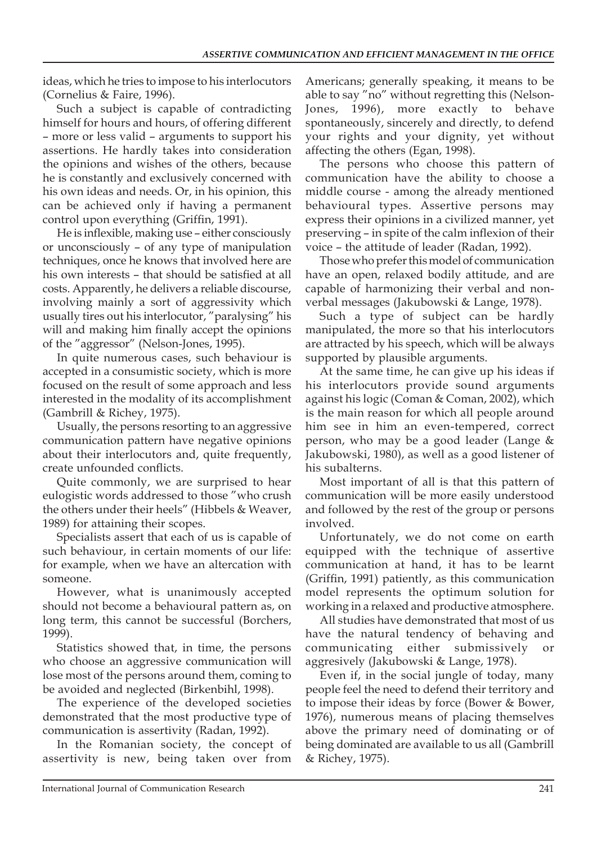ideas, which he tries to impose to his interlocutors (Cornelius & Faire, 1996).

Such a subject is capable of contradicting himself for hours and hours, of offering different – more or less valid – arguments to support his assertions. He hardly takes into consideration the opinions and wishes of the others, because he is constantly and exclusively concerned with his own ideas and needs. Or, in his opinion, this can be achieved only if having a permanent control upon everything (Griffin, 1991).

He is inflexible, making use – either consciously or unconsciously – of any type of manipulation techniques, once he knows that involved here are his own interests – that should be satisfied at all costs. Apparently, he delivers a reliable discourse, involving mainly a sort of aggressivity which usually tires out his interlocutor, "paralysing" his will and making him finally accept the opinions of the "aggressor" (Nelson-Jones, 1995).

In quite numerous cases, such behaviour is accepted in a consumistic society, which is more focused on the result of some approach and less interested in the modality of its accomplishment (Gambrill & Richey, 1975).

Usually, the persons resorting to an aggressive communication pattern have negative opinions about their interlocutors and, quite frequently, create unfounded conflicts.

Quite commonly, we are surprised to hear eulogistic words addressed to those "who crush the others under their heels" (Hibbels & Weaver, 1989) for attaining their scopes.

Specialists assert that each of us is capable of such behaviour, in certain moments of our life: for example, when we have an altercation with someone.

However, what is unanimously accepted should not become a behavioural pattern as, on long term, this cannot be successful (Borchers, 1999).

Statistics showed that, in time, the persons who choose an aggressive communication will lose most of the persons around them, coming to be avoided and neglected (Birkenbihl, 1998).

The experience of the developed societies demonstrated that the most productive type of communication is assertivity (Radan, 1992).

In the Romanian society, the concept of assertivity is new, being taken over from

Americans; generally speaking, it means to be able to say "no" without regretting this (Nelson-Jones, 1996), more exactly to behave spontaneously, sincerely and directly, to defend your rights and your dignity, yet without affecting the others (Egan, 1998).

The persons who choose this pattern of communication have the ability to choose a middle course - among the already mentioned behavioural types. Assertive persons may express their opinions in a civilized manner, yet preserving – in spite of the calm inflexion of their voice – the attitude of leader (Radan, 1992).

Those who prefer this model of communication have an open, relaxed bodily attitude, and are capable of harmonizing their verbal and nonverbal messages (Jakubowski & Lange, 1978).

Such a type of subject can be hardly manipulated, the more so that his interlocutors are attracted by his speech, which will be always supported by plausible arguments.

At the same time, he can give up his ideas if his interlocutors provide sound arguments against his logic (Coman & Coman, 2002), which is the main reason for which all people around him see in him an even-tempered, correct person, who may be a good leader (Lange & Jakubowski, 1980), as well as a good listener of his subalterns.

Most important of all is that this pattern of communication will be more easily understood and followed by the rest of the group or persons involved.

Unfortunately, we do not come on earth equipped with the technique of assertive communication at hand, it has to be learnt (Griffin, 1991) patiently, as this communication model represents the optimum solution for working in a relaxed and productive atmosphere.

All studies have demonstrated that most of us have the natural tendency of behaving and communicating either submissively or aggresively (Jakubowski & Lange, 1978).

Even if, in the social jungle of today, many people feel the need to defend their territory and to impose their ideas by force (Bower & Bower, 1976), numerous means of placing themselves above the primary need of dominating or of being dominated are available to us all (Gambrill & Richey, 1975).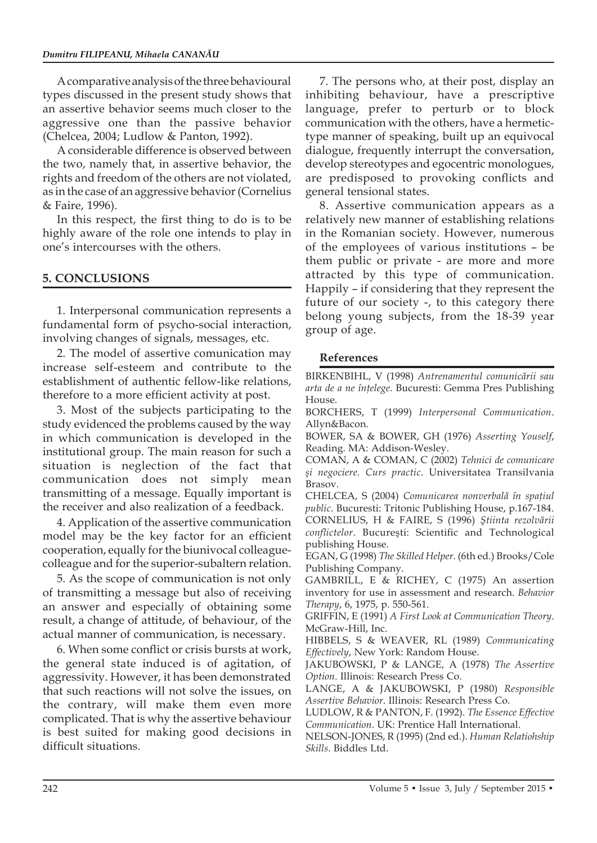A comparative analysis of the three behavioural types discussed in the present study shows that an assertive behavior seems much closer to the aggressive one than the passive behavior (Chelcea, 2004; Ludlow & Panton, 1992).

A considerable difference is observed between the two, namely that, in assertive behavior, the rights and freedom of the others are not violated, as in the case of an aggressive behavior (Cornelius & Faire, 1996).

In this respect, the first thing to do is to be highly aware of the role one intends to play in one's intercourses with the others.

### **5. CONCLUSIONS**

1. Interpersonal communication represents a fundamental form of psycho-social interaction, involving changes of signals, messages, etc.

2. The model of assertive comunication may increase self-esteem and contribute to the establishment of authentic fellow-like relations, therefore to a more efficient activity at post.

3. Most of the subjects participating to the study evidenced the problems caused by the way in which communication is developed in the institutional group. The main reason for such a situation is neglection of the fact that communication does not simply mean transmitting of a message. Equally important is the receiver and also realization of a feedback.

4. Application of the assertive communication model may be the key factor for an efficient cooperation, equally for the biunivocal colleaguecolleague and for the superior-subaltern relation.

5. As the scope of communication is not only of transmitting a message but also of receiving an answer and especially of obtaining some result, a change of attitude, of behaviour, of the actual manner of communication, is necessary.

6. When some conflict or crisis bursts at work, the general state induced is of agitation, of aggressivity. However, it has been demonstrated that such reactions will not solve the issues, on the contrary, will make them even more complicated. That is why the assertive behaviour is best suited for making good decisions in difficult situations.

7. The persons who, at their post, display an inhibiting behaviour, have a prescriptive language, prefer to perturb or to block communication with the others, have a hermetictype manner of speaking, built up an equivocal dialogue, frequently interrupt the conversation, develop stereotypes and egocentric monologues, are predisposed to provoking conflicts and general tensional states.

8. Assertive communication appears as a relatively new manner of establishing relations in the Romanian society. However, numerous of the employees of various institutions – be them public or private - are more and more attracted by this type of communication. Happily – if considering that they represent the future of our society -, to this category there belong young subjects, from the 18-39 year group of age.

#### **References**

BIRKENBIHL, V (1998) *Antrenamentul comunicării sau arta de a ne înţelege*. Bucuresti: Gemma Pres Publishing House.

BORCHERS, T (1999) *Interpersonal Communication*. Allyn&Bacon.

BOWER, SA & BOWER, GH (1976) *Asserting Youself*, Reading. MA: Addison-Wesley.

COMAN, A & COMAN, C (2002) *Tehnici de comunicare şi negociere. Curs practic*. Universitatea Transilvania Brasov.

CHELCEA, S (2004) *Comunicarea nonverbală în spaţiul public*. Bucuresti: Tritonic Publishing House, p.167-184. CORNELIUS, H & FAIRE, S (1996) *Ştiinta rezolvării conflictelor*. Bucureşti: Scientific and Technological publishing House.

EGAN, G (1998) *The Skilled Helper*. (6th ed.) Brooks/Cole Publishing Company.

GAMBRILL, E & RICHEY, C (1975) An assertion inventory for use in assessment and research. *Behavior Therapy*, 6, 1975, p. 550-561.

GRIFFIN, E (1991) *A First Look at Communication Theory*. McGraw-Hill, Inc.

HIBBELS, S & WEAVER, RL (1989) *Communicating Effectively*, New York: Random House.

JAKUBOWSKI, P & LANGE, A (1978) *The Assertive Option*. Illinois: Research Press Co.

LANGE, A & JAKUBOWSKI, P (1980) *Responsible Assertive Behavior*. Illinois: Research Press Co.

LUDLOW, R & PANTON, F. (1992). *The Essence Effective Communication*. UK: Prentice Hall International.

NELSON-JONES, R (1995) (2nd ed.). *Human Relatiohship Skills*. Biddles Ltd.